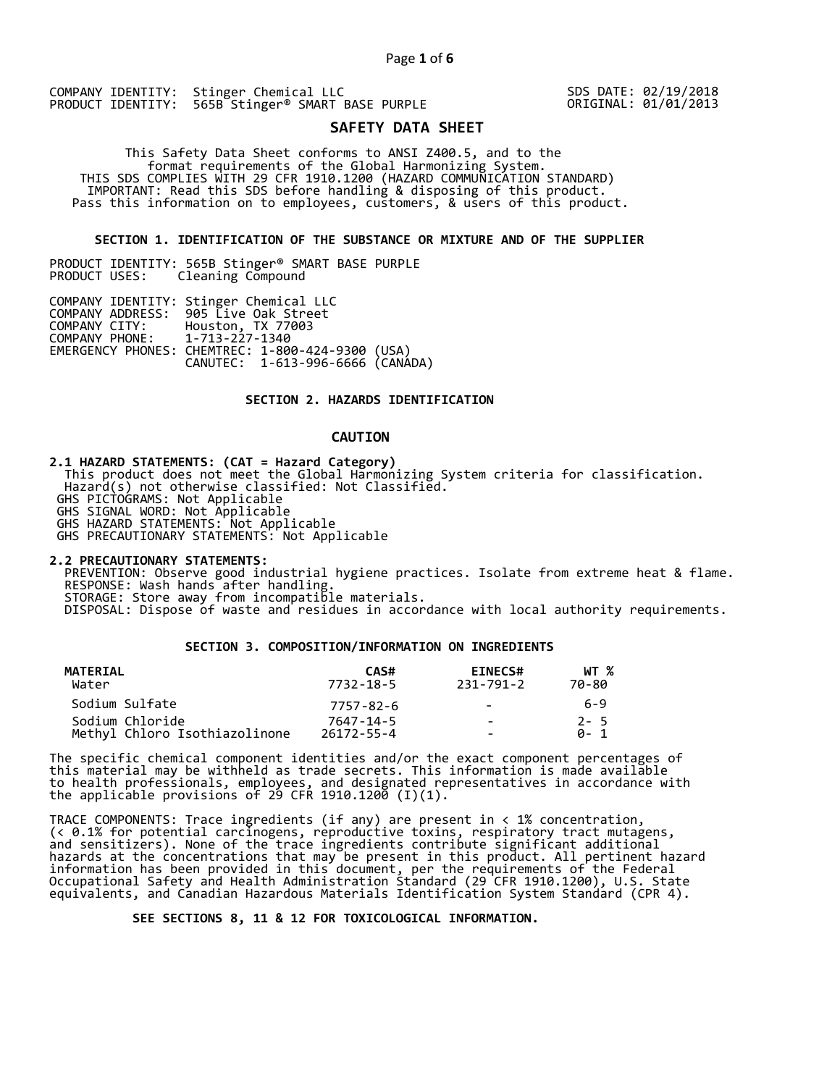COMPANY IDENTITY: Stinger Chemical LLC PRODUCT IDENTITY: 565B Stinger<sup>®</sup> SMART BASE PURPLE SDS DATE: 02/19/2018 ORIGINAL: 01/01/2013

# **SAFETY DATA SHEET**

 This Safety Data Sheet conforms to ANSI Z400.5, and to the format requirements of the Global Harmonizing System. THIS SDS COMPLIES WITH 29 CFR 1910.1200 (HAZARD COMMUNICATION STANDARD) IMPORTANT: Read this SDS before handling & disposing of this product. Pass this information on to employees, customers, & users of this product.

### **SECTION 1. IDENTIFICATION OF THE SUBSTANCE OR MIXTURE AND OF THE SUPPLIER**

PRODUCT IDENTITY: 565B Stinger® SMART BASE PURPLE Cleaning Compound

|                               | COMPANY IDENTITY: Stinger Chemical LLC           |
|-------------------------------|--------------------------------------------------|
|                               | COMPANY ADDRESS: 905 Live Oak Street             |
|                               | COMPANY CITY: Houston, TX 77003                  |
| COMPANY PHONE: 1-713-227-1340 |                                                  |
|                               | EMERGENCY PHONES: CHEMTREC: 1-800-424-9300 (USA) |
|                               | CANUTEC: 1-613-996-6666 (CANÁDA)                 |
|                               |                                                  |

# **SECTION 2. HAZARDS IDENTIFICATION**

# **CAUTION**

**2.1 HAZARD STATEMENTS: (CAT = Hazard Category)**

 This product does not meet the Global Harmonizing System criteria for classification. Hazard(s) not otherwise classified: Not Classified.

GHS PICTOGRAMS: Not Applicable

GHS SIGNAL WORD: Not Applicable

GHS HAZARD STATEMENTS: Not Applicable

GHS PRECAUTIONARY STATEMENTS: Not Applicable

**2.2 PRECAUTIONARY STATEMENTS:** 

 PREVENTION: Observe good industrial hygiene practices. Isolate from extreme heat & flame. RESPONSE: Wash hands after handling. STORAGE: Store away from incompatible materials.

DISPOSAL: Dispose of waste and residues in accordance with local authority requirements.

## **SECTION 3. COMPOSITION/INFORMATION ON INGREDIENTS**

| MATERIAL<br>Water             | CAS#<br>7732-18-5 | <b>EINECS#</b><br>231-791-2 | WT %<br>70-80 |
|-------------------------------|-------------------|-----------------------------|---------------|
| Sodium Sulfate                | 7757-82-6         | $\sim$                      | 6-9           |
| Sodium Chloride               | 7647-14-5         | $\sim$                      | $2 - 5$       |
| Methyl Chloro Isothiazolinone | $26172 - 55 - 4$  | -                           | A- 1          |

The specific chemical component identities and/or the exact component percentages of this material may be withheld as trade secrets. This information is made available to health professionals, employees, and designated representatives in accordance with the applicable provisions of 29 CFR 1910.1200̄ (I)(1).  $\overline{\phantom{a}}$ 

TRACE COMPONENTS: Trace ingredients (if any) are present in < 1% concentration, (< 0.1% for potential carcinogens, reproductive toxins, respiratory tract mutagens, and sensitizers). None of the trace ingredients contribute significant additional hazards at the concentrations that may be present in this product. All pertinent hazard information has been provided in this document, per the requirements of the Federal Occupational Safety and Health Administration Standard (29 CFR 1910.1200), U.S. State equivalents, and Canadian Hazardous Materials Identification System Standard (CPR 4).

 **SEE SECTIONS 8, 11 & 12 FOR TOXICOLOGICAL INFORMATION.**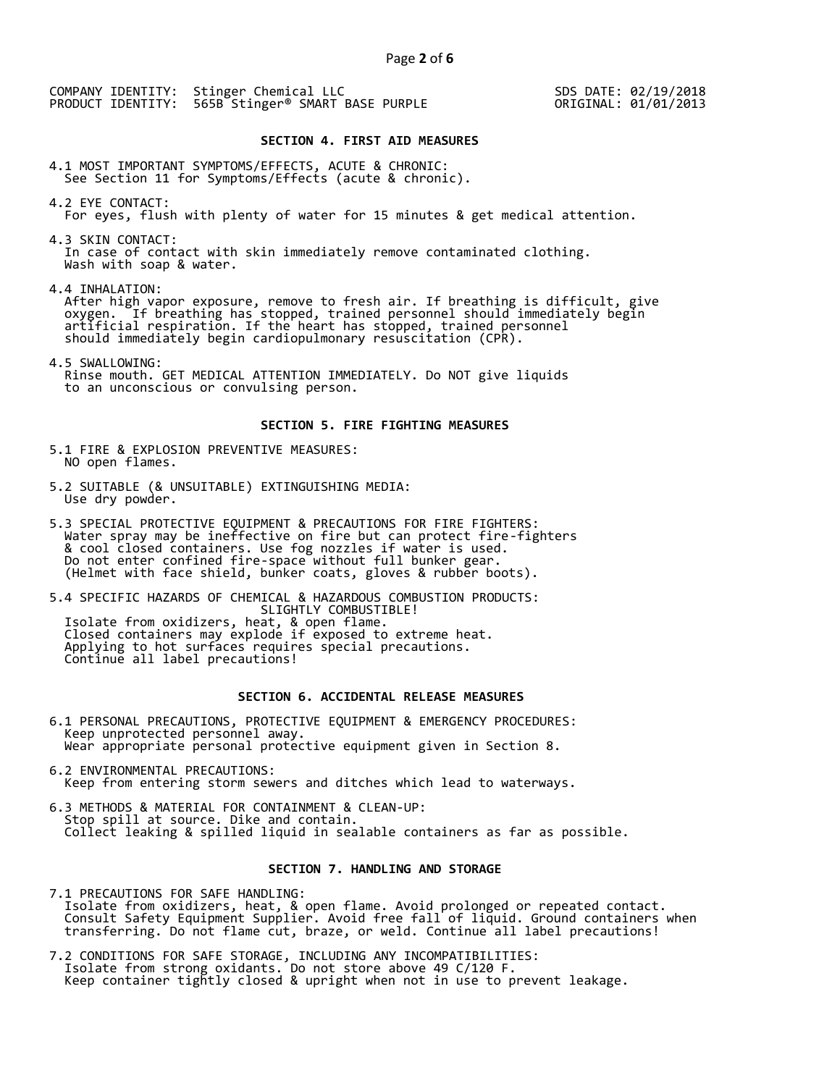COMPANY IDENTITY: Stinger Chemical LLC PRODUCT IDENTITY: 565B Stinger<sup>®</sup> SMART BASE PURPLE

SDS DATE: 02/19/2018 ORIGINAL: 01/01/2013

# **SECTION 4. FIRST AID MEASURES**

4.1 MOST IMPORTANT SYMPTOMS/EFFECTS, ACUTE & CHRONIC: See Section 11 for Symptoms/Effects (acute & chronic).

- 4.2 EYE CONTACT: For eyes, flush with plenty of water for 15 minutes & get medical attention.
- 4.3 SKIN CONTACT: In case of contact with skin immediately remove contaminated clothing. Wash with soap & water.

4.4 INHALATION:

 After high vapor exposure, remove to fresh air. If breathing is difficult, give oxygen. If breathing has stopped, trained personnel should immediately begin artificial respiration. If the heart has stopped, trained personnel should immediately begin cardiopulmonary resuscitation (CPR).

4.5 SWALLOWING: Rinse mouth. GET MEDICAL ATTENTION IMMEDIATELY. Do NOT give liquids to an unconscious or convulsing person.

#### **SECTION 5. FIRE FIGHTING MEASURES**

- 5.1 FIRE & EXPLOSION PREVENTIVE MEASURES: NO open flames.
- 5.2 SUITABLE (& UNSUITABLE) EXTINGUISHING MEDIA: Use dry powder.
- 5.3 SPECIAL PROTECTIVE EQUIPMENT & PRECAUTIONS FOR FIRE FIGHTERS: Water spray may be ineffective on fire but can protect fire-fighters & cool closed containers. Use fog nozzles if water is used. Do not enter confined fire-space without full bunker gear. (Helmet with face shield, bunker coats, gloves & rubber boots).

5.4 SPECIFIC HAZARDS OF CHEMICAL & HAZARDOUS COMBUSTION PRODUCTS: SLIGHTLY COMBUSTIBLE! Isolate from oxidizers, heat, & open flame. Closed containers may explode if exposed to extreme heat. Applying to hot surfaces requires special precautions. Continue all label precautions!

# **SECTION 6. ACCIDENTAL RELEASE MEASURES**

- 6.1 PERSONAL PRECAUTIONS, PROTECTIVE EQUIPMENT & EMERGENCY PROCEDURES: Keep unprotected personnel away. Wear appropriate personal protective equipment given in Section 8.
- 6.2 ENVIRONMENTAL PRECAUTIONS: Keep from entering storm sewers and ditches which lead to waterways.
- 6.3 METHODS & MATERIAL FOR CONTAINMENT & CLEAN-UP: Stop spill at source. Dike and contain. Collect leaking & spilled liquid in sealable containers as far as possible.

# **SECTION 7. HANDLING AND STORAGE**

7.1 PRECAUTIONS FOR SAFE HANDLING: Isolate from oxidizers, heat, & open flame. Avoid prolonged or repeated contact. Consult Safety Equipment Supplier. Avoid free fall of liquid. Ground containers when transferring. Do not flame cut, braze, or weld. Continue all label precautions!

7.2 CONDITIONS FOR SAFE STORAGE, INCLUDING ANY INCOMPATIBILITIES: Isolate from strong oxidants. Do not store above 49 C/120 F. Keep container tightly closed & upright when not in use to prevent leakage.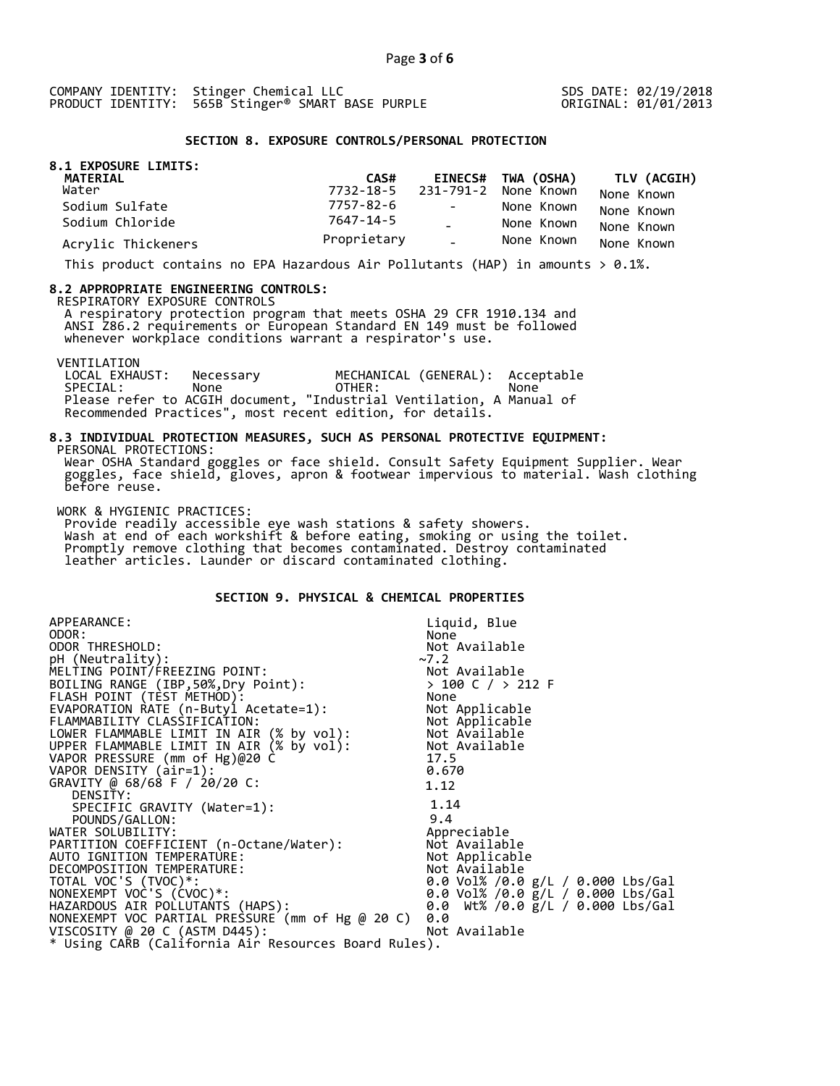SDS DATE: 02/19/2018 ORIGINAL: 01/01/2013

#### **SECTION 8. EXPOSURE CONTROLS/PERSONAL PROTECTION**

| 8.1 EXPOSURE LIMITS:<br>MATERIAL | CAS#        |               | EINECS# TWA (OSHA)             | TLV (ACGIH) |
|----------------------------------|-------------|---------------|--------------------------------|-------------|
| Water                            |             |               | 7732-18-5 231-791-2 None Known | None Known  |
| Sodium Sulfate                   | 7757-82-6   | $\sim$        | None Known                     | None Known  |
| Sodium Chloride                  | 7647-14-5   |               | None Known                     | None Known  |
| Acrylic Thickeners               | Proprietary | $\Delta \phi$ | None Known                     | None Known  |

This product contains no EPA Hazardous Air Pollutants (HAP) in amounts  $> 0.1\%$ .

#### **8.2 APPROPRIATE ENGINEERING CONTROLS:**

RESPIRATORY EXPOSURE CONTROLS

 A respiratory protection program that meets OSHA 29 CFR 1910.134 and ANSI Z86.2 requirements or European Standard EN 149 must be followed whenever workplace conditions warrant a respirator's use.

VENTILATION<br>LOCAL EXHAUST: LOCAL EXHAUST: Necessary MECHANICAL (GENERAL): Acceptable SPECIAL: None OTHER: None Please refer to ACGIH document, "Industrial Ventilation, A Manual of Recommended Practices", most recent edition, for details.

#### **8.3 INDIVIDUAL PROTECTION MEASURES, SUCH AS PERSONAL PROTECTIVE EQUIPMENT:**  PERSONAL PROTECTIONS:

 Wear OSHA Standard goggles or face shield. Consult Safety Equipment Supplier. Wear goggles, face shield, gloves, apron & footwear impervious to material. Wash clothing before reuse.

WORK & HYGIENIC PRACTICES:

 Provide readily accessible eye wash stations & safety showers. Wash at end of each workshift & before eating, smoking or using the toilet. Promptly remove clothing that becomes contaminated. Destroy contaminated leather articles. Launder or discard contaminated clothing.

# **SECTION 9. PHYSICAL & CHEMICAL PROPERTIES**

| APPEARANCE:                                                                                                                                      | Liquid, Blue                              |
|--------------------------------------------------------------------------------------------------------------------------------------------------|-------------------------------------------|
| ODOR:                                                                                                                                            | None                                      |
| ODOR THRESHOLD:                                                                                                                                  | Not Available                             |
| pH (Neutrality):                                                                                                                                 | ~2                                        |
| MELTING POINT/FREEZING POINT:                                                                                                                    |                                           |
| BOILING RANGE (IBP, 50%, Dry Point):                                                                                                             | Not Available<br>> 100 C / > 212 F        |
| FLASH POINT (TÈST METHOD):                                                                                                                       | None                                      |
| EVAPORATION RATE (n-Butyl Acetate=1):                                                                                                            | Not Applicable                            |
| FLAMMABILITY CLASSIFICATION:<br>LOWER FLAMMABLE LIMIT IN AIR (% by vol): Not Available<br>UPPER FLAMMARLE LIMIT IN AIR (% by VOl): Not Available |                                           |
|                                                                                                                                                  |                                           |
| UPPER FLAMMABLE LIMIT IN AIR (% by vol): Not Available                                                                                           |                                           |
| VAPOR PRESSURE (mm of Hg)@20 C                                                                                                                   | 17.5                                      |
| VAPOR DENSITY (air=1):                                                                                                                           | 0.670                                     |
| GRAVITY @ 68/68 F / 20/20 C:                                                                                                                     | 1.12                                      |
| DENSITY:                                                                                                                                         |                                           |
| SPECIFIC GRAVITY (Water=1):                                                                                                                      | 1.14                                      |
| POUNDS/GALLON:                                                                                                                                   | 9.4                                       |
| PARTITION COEFFICIENT (n-Octane/Water):<br>AUTO IGNITION TEMPERATURE                                                                             | Appreciable                               |
|                                                                                                                                                  | Not Available                             |
|                                                                                                                                                  | Not Applicable                            |
| DECOMPOSITION TEMPERATURE:                                                                                                                       | Not Available                             |
| TOTAL VOC'S (TVOC)*:                                                                                                                             | 0.0 Vol% /0.0 g/L / 0.000 Lbs/Gal         |
| NONEXEMPT VOC'S (CVOC)*:                                                                                                                         | 0.0 Vol% /0.0 $\bar{g}/L$ / 0.000 Lbs/Gal |
| HAZARDOUS AIR POLLUTANTS (HAPS):                                                                                                                 | 0.0 Wt% /0.0 g/L / 0.000 Lbs/Gal          |
| NONEXEMPT VOC PARTIAL PRESSURE (mm of Hg @ 20 C)                                                                                                 | 0.0                                       |
| VISCOSITY @ 20 C (ASTM D445):                                                                                                                    | Not Available                             |
| * Using CARB (California Air Resources Board Rules).                                                                                             |                                           |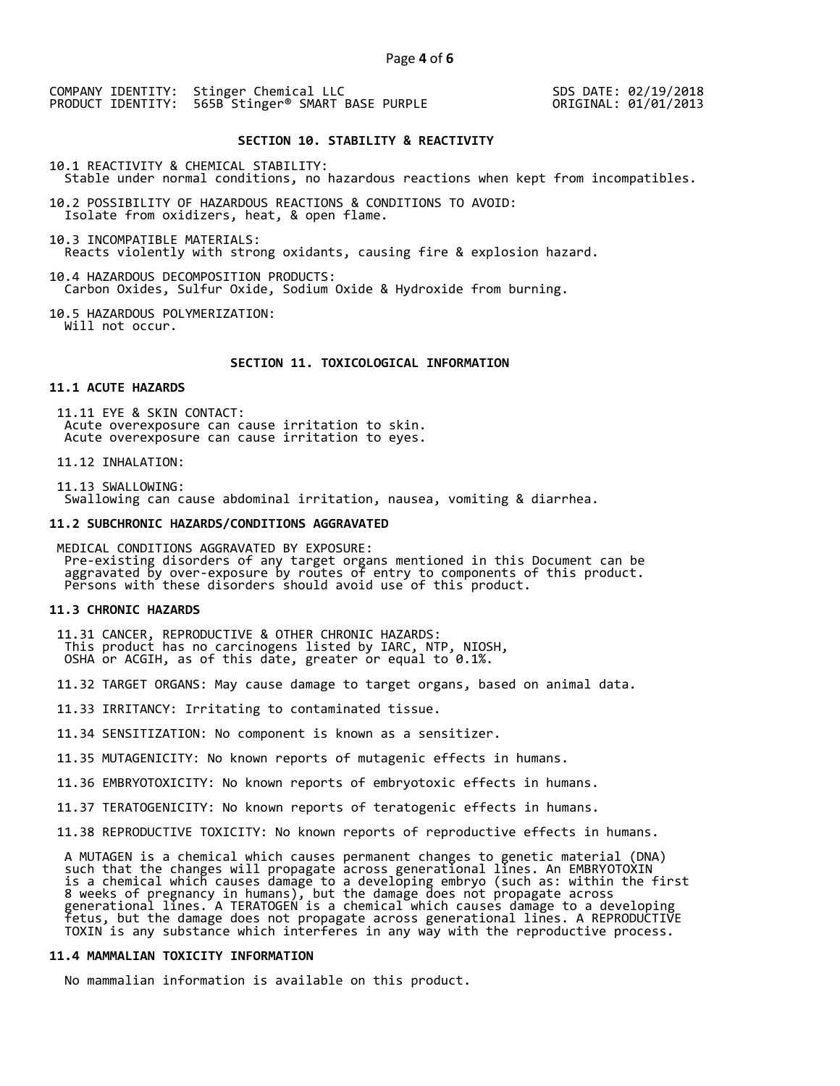COMPANY IDENTITY: Stinger Chemical LLC PRODUCT IDENTITY: 565B Stinger® SMART BASE PURPLE

SDS DATE: 02/19/2018 ORIGINAL: 01/01/2013

# **SECTION 10. STABILITY & REACTIVITY**

10.1 REACTIVITY & CHEMICAL STABILITY: Stable under normal conditions, no hazardous reactions when kept from incompatibles.

10.2 POSSIBILITY OF HAZARDOUS REACTIONS & CONDITIONS TO AVOID: Isolate from oxidizers, heat, & open flame.

10.3 INCOMPATIBLE MATERIALS: Reacts violently with strong oxidants, causing fire & explosion hazard.

10.4 HAZARDOUS DECOMPOSITION PRODUCTS: Carbon Oxides, Sulfur Oxide, Sodium Oxide & Hydroxide from burning.

10.5 HAZARDOUS POLYMERIZATION: Will not occur.

# **SECTION 11. TOXICOLOGICAL INFORMATION**

# **11.1 ACUTE HAZARDS**

 11.11 EYE & SKIN CONTACT: Acute overexposure can cause irritation to skin. Acute overexposure can cause irritation to eyes.

11.12 INHALATION:

 11.13 SWALLOWING: Swallowing can cause abdominal irritation, nausea, vomiting & diarrhea.

#### **11.2 SUBCHRONIC HAZARDS/CONDITIONS AGGRAVATED**

 MEDICAL CONDITIONS AGGRAVATED BY EXPOSURE: Pre-existing disorders of any target organs mentioned in this Document can be aggravated by over-exposure by routes of entry to components of this product. Persons with these disorders should avoid use of this product.

#### **11.3 CHRONIC HAZARDS**

 11.31 CANCER, REPRODUCTIVE & OTHER CHRONIC HAZARDS: This product has no carcinogens listed by IARC, NTP, NIOSH, OSHA or ACGIH, as of this date, greater or equal to 0.1%.

11.32 TARGET ORGANS: May cause damage to target organs, based on animal data.

11.33 IRRITANCY: Irritating to contaminated tissue.

11.34 SENSITIZATION: No component is known as a sensitizer.

11.35 MUTAGENICITY: No known reports of mutagenic effects in humans.

11.36 EMBRYOTOXICITY: No known reports of embryotoxic effects in humans.

11.37 TERATOGENICITY: No known reports of teratogenic effects in humans.

11.38 REPRODUCTIVE TOXICITY: No known reports of reproductive effects in humans.

 A MUTAGEN is a chemical which causes permanent changes to genetic material (DNA) such that the changes will propagate across generational lines. An EMBRYOTOXIN is a chemical which causes damage to a developing embryo (such as: within the first 8 weeks of pregnancy in humans), but the damage does not propagate across generational lines. A TERATOGEN is a chemical which causes damage to a developing fetus, but the damage does not propagate across generational lines. A REPRODUCTIVE TOXIN is any substance which interferes in any way with the reproductive process.

# **11.4 MAMMALIAN TOXICITY INFORMATION**

No mammalian information is available on this product.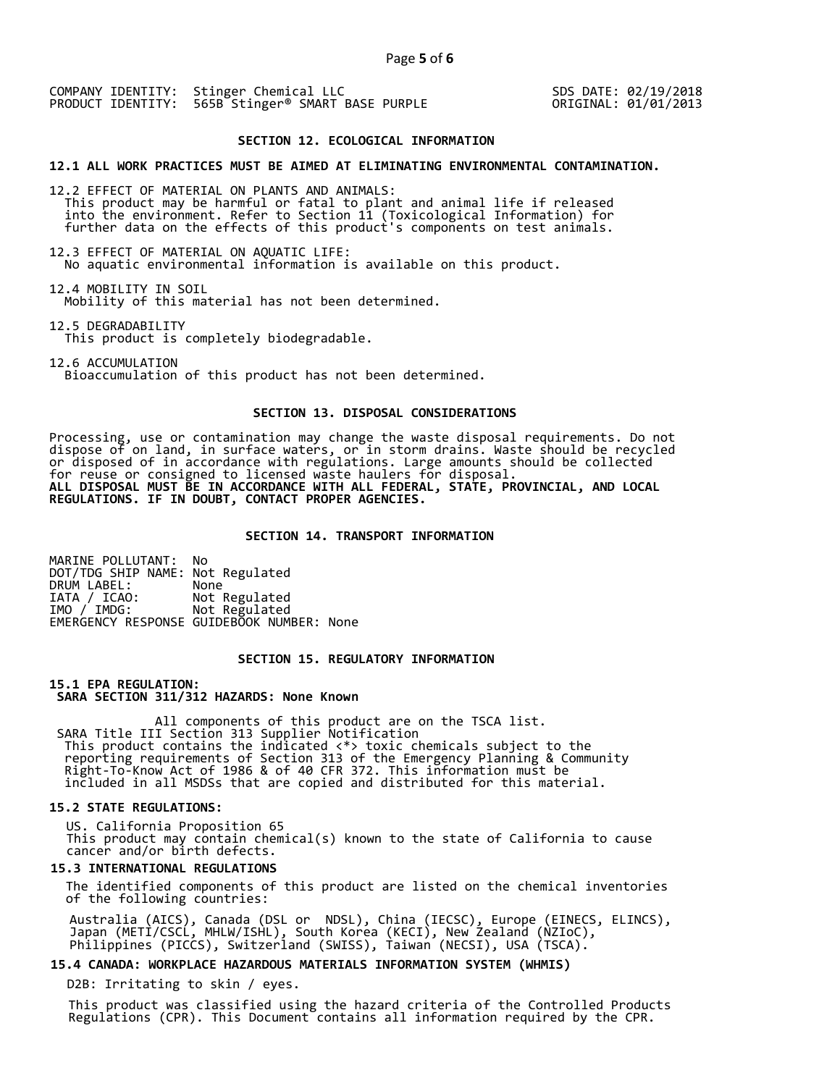COMPANY IDENTITY: Stinger Chemical LLC PRODUCT IDENTITY: 565B Stinger<sup>®</sup> SMART BASE PURPLE SDS DATE: 02/19/2018 ORIGINAL: 01/01/2013

#### **SECTION 12. ECOLOGICAL INFORMATION**

**12.1 ALL WORK PRACTICES MUST BE AIMED AT ELIMINATING ENVIRONMENTAL CONTAMINATION.** 

12.2 EFFECT OF MATERIAL ON PLANTS AND ANIMALS: This product may be harmful or fatal to plant and animal life if released into the environment. Refer to Section 11 (Toxicological Information) for further data on the effects of this product's components on test animals.

12.3 EFFECT OF MATERIAL ON AQUATIC LIFE: No aquatic environmental information is available on this product.

12.4 MOBILITY IN SOIL Mobility of this material has not been determined.

12.5 DEGRADABILITY This product is completely biodegradable.

12.6 ACCUMULATION

Bioaccumulation of this product has not been determined.

# **SECTION 13. DISPOSAL CONSIDERATIONS**

Processing, use or contamination may change the waste disposal requirements. Do not dispose of on land, in surface waters, or in storm drains. Waste should be recycled or disposed of in accordance with regulations. Large amounts should be collected for reuse or consigned to licensed waste haulers for disposal. **ALL DISPOSAL MUST BE IN ACCORDANCE WITH ALL FEDERAL, STATE, PROVINCIAL, AND LOCAL REGULATIONS. IF IN DOUBT, CONTACT PROPER AGENCIES.** 

#### **SECTION 14. TRANSPORT INFORMATION**

MARINE POLLUTANT: No DOT/TDG SHIP NAME: Not Regulated DRUM LABEL:<br>IATA / ICAO:<br>IMO / IMDG: Not Regulated Not Regulated EMERGENCY RESPONSE GUIDEBOOK NUMBER: None

# **SECTION 15. REGULATORY INFORMATION**

**15.1 EPA REGULATION: SARA SECTION 311/312 HAZARDS: None Known** 

All components of this product are on the TSCA list. SARA Title III Section 313 Supplier Notification This product contains the indicated <\*> toxic chemicals subject to the reporting requirements of Section 313 of the Emergency Planning & Community Right-To-Know Act of 1986 & of 40 CFR 372. This information must be included in all MSDSs that are copied and distributed for this material.

# **15.2 STATE REGULATIONS:**

US. California Proposition 65 This product may contain chemical(s) known to the state of California to cause cancer and/or birth defects.

# **15.3 INTERNATIONAL REGULATIONS**

 The identified components of this product are listed on the chemical inventories of the following countries:

 Australia (AICS), Canada (DSL or NDSL), China (IECSC), Europe (EINECS, ELINCS), Japan (METI/CSCL, MHLW/ISHL), South Korea (KECI), New Zealand (NZIoC), Philippines (PICCS), Switzerland (SWISS), Taiwan (NECSI), USA (TSCA).

#### **15.4 CANADA: WORKPLACE HAZARDOUS MATERIALS INFORMATION SYSTEM (WHMIS)**

D2B: Irritating to skin / eyes.

 This product was classified using the hazard criteria of the Controlled Products Regulations (CPR). This Document contains all information required by the CPR.